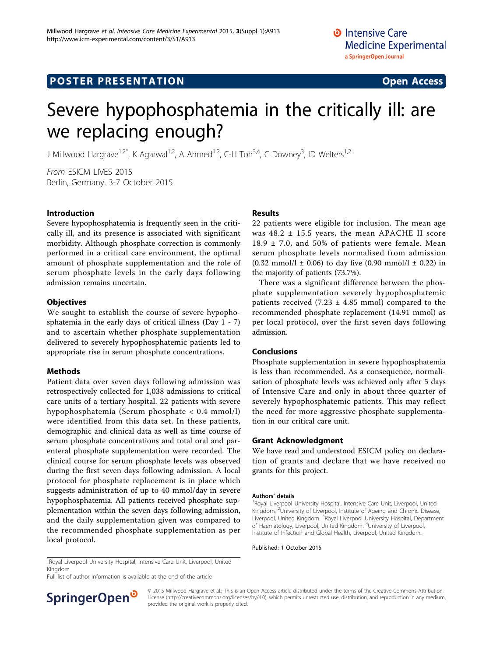## **POSTER PRESENTATION CONSUMING ACCESS**

# Severe hypophosphatemia in the critically ill: are we replacing enough?

J Millwood Hargrave<sup>1,2\*</sup>, K Agarwal<sup>1,2</sup>, A Ahmed<sup>1,2</sup>, C-H Toh<sup>3,4</sup>, C Downey<sup>3</sup>, ID Welters<sup>1,2</sup>

From ESICM LIVES 2015 Berlin, Germany. 3-7 October 2015

#### Introduction

Severe hypophosphatemia is frequently seen in the critically ill, and its presence is associated with significant morbidity. Although phosphate correction is commonly performed in a critical care environment, the optimal amount of phosphate supplementation and the role of serum phosphate levels in the early days following admission remains uncertain.

### **Objectives**

We sought to establish the course of severe hypophosphatemia in the early days of critical illness (Day 1 - 7) and to ascertain whether phosphate supplementation delivered to severely hypophosphatemic patients led to appropriate rise in serum phosphate concentrations.

### Methods

Patient data over seven days following admission was retrospectively collected for 1,038 admissions to critical care units of a tertiary hospital. 22 patients with severe hypophosphatemia (Serum phosphate < 0.4 mmol/l) were identified from this data set. In these patients, demographic and clinical data as well as time course of serum phosphate concentrations and total oral and parenteral phosphate supplementation were recorded. The clinical course for serum phosphate levels was observed during the first seven days following admission. A local protocol for phosphate replacement is in place which suggests administration of up to 40 mmol/day in severe hypophosphatemia. All patients received phosphate supplementation within the seven days following admission, and the daily supplementation given was compared to the recommended phosphate supplementation as per local protocol.

## Results

22 patients were eligible for inclusion. The mean age was  $48.2 \pm 15.5$  years, the mean APACHE II score 18.9  $\pm$  7.0, and 50% of patients were female. Mean serum phosphate levels normalised from admission  $(0.32 \text{ mmol/l} \pm 0.06)$  to day five  $(0.90 \text{ mmol/l} \pm 0.22)$  in the majority of patients (73.7%).

There was a significant difference between the phosphate supplementation severely hypophosphatemic patients received (7.23  $\pm$  4.85 mmol) compared to the recommended phosphate replacement (14.91 mmol) as per local protocol, over the first seven days following admission.

### Conclusions

Phosphate supplementation in severe hypophosphatemia is less than recommended. As a consequence, normalisation of phosphate levels was achieved only after 5 days of Intensive Care and only in about three quarter of severely hypophosphatemic patients. This may reflect the need for more aggressive phosphate supplementation in our critical care unit.

#### Grant Acknowledgment

We have read and understood ESICM policy on declaration of grants and declare that we have received no grants for this project.

#### Authors' details <sup>1</sup>

Royal Liverpool University Hospital, Intensive Care Unit, Liverpool, United Kingdom. <sup>2</sup> University of Liverpool, Institute of Ageing and Chronic Disease, Liverpool, United Kingdom. <sup>3</sup>Royal Liverpool University Hospital, Department of Haematology, Liverpool, United Kingdom. <sup>4</sup>University of Liverpool Institute of Infection and Global Health, Liverpool, United Kingdom.

Published: 1 October 2015

<sup>1</sup> Royal Liverpool University Hospital, Intensive Care Unit, Liverpool, United Kingdom

Full list of author information is available at the end of the article



© 2015 Millwood Hargrave et al.; This is an Open Access article distributed under the terms of the Creative Commons Attribution License [\(http://creativecommons.org/licenses/by/4.0](http://creativecommons.org/licenses/by/4.0)), which permits unrestricted use, distribution, and reproduction in any medium, provided the original work is properly cited.